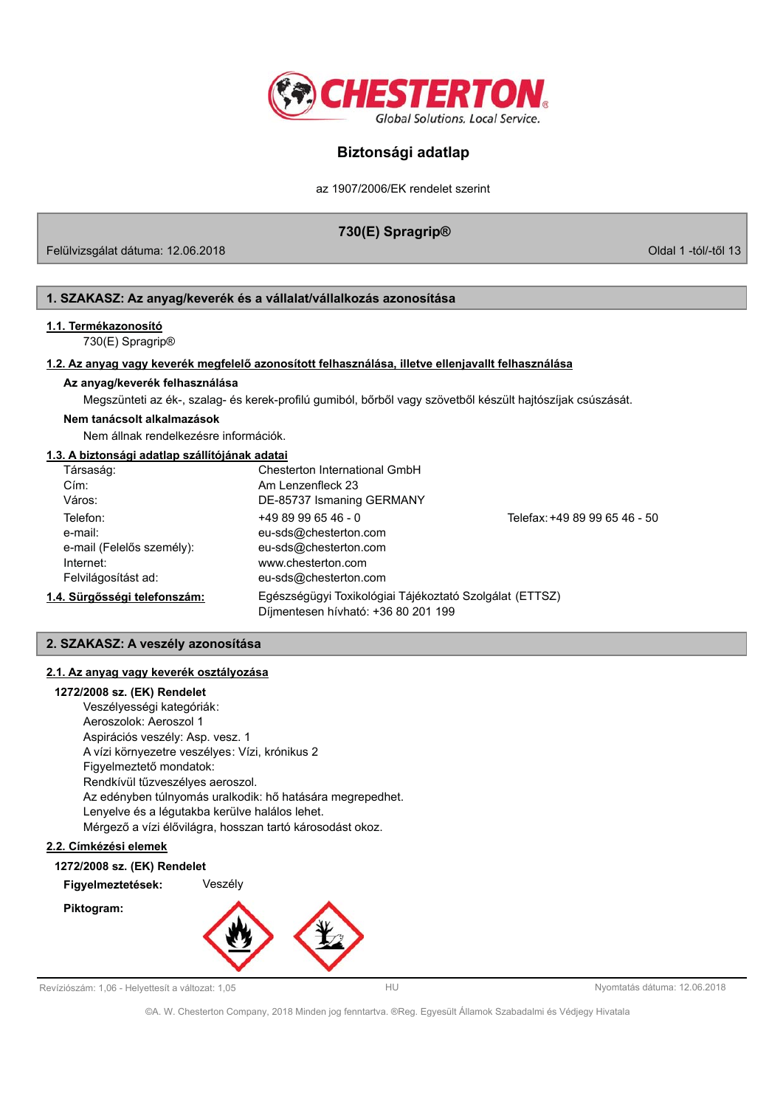

az 1907/2006/EK rendelet szerint

# 730(E) Spragrip®

Felülvizsgálat dátuma: 12.06.2018

Oldal 1 -tól/-től 13

# 1. SZAKASZ: Az anyag/keverék és a vállalat/vállalkozás azonosítása

## 1.1. Termékazonosító

730(E) Spragrip®

### 1.2. Az anyag vagy keverék megfelelő azonosított felhasználása, illetve ellenjavallt felhasználása

### Az anyag/keverék felhasználása

Megszünteti az ék-, szalag- és kerek-profilú gumiból, bőrből vagy szövetből készült hajtószíjak csúszását.

### Nem tanácsolt alkalmazások

Nem állnak rendelkezésre információk.

# 1.3. A biztonsági adatlap szállítójának adatai

| Társaság:                    | Chesterton International GmbH                           |                               |
|------------------------------|---------------------------------------------------------|-------------------------------|
| Cím:                         | Am Lenzenfleck 23                                       |                               |
| Város:                       | DE-85737 Ismaning GERMANY                               |                               |
| Telefon:                     | $+4989996546 - 0$                                       | Telefax: +49 89 99 65 46 - 50 |
| e-mail:                      | eu-sds@chesterton.com                                   |                               |
| e-mail (Felelős személy):    | eu-sds@chesterton.com                                   |                               |
| Internet:                    | www.chesterton.com                                      |                               |
| Felvilágosítást ad:          | eu-sds@chesterton.com                                   |                               |
| 1.4. Sürgősségi telefonszám: | Egészségügyi Toxikológiai Tájékoztató Szolgálat (ETTSZ) |                               |
|                              | Díjmentesen hívható: +36 80 201 199                     |                               |

# 2. SZAKASZ: A veszély azonosítása

# 2.1. Az anyag vagy keverék osztályozása

### 1272/2008 sz. (EK) Rendelet

Veszélyességi kategóriák: Aeroszolok: Aeroszol 1 Aspirációs veszély: Asp. vesz. 1 A vízi környezetre veszélyes: Vízi, krónikus 2 Figyelmeztető mondatok: Rendkívül tűzveszélyes aeroszol. Az edényben túlnyomás uralkodik: hő hatására megrepedhet. Lenyelve és a légutakba kerülve halálos lehet. Mérgező a vízi élővilágra, hosszan tartó károsodást okoz.

### 2.2. Címkézési elemek

1272/2008 sz. (EK) Rendelet

Figyelmeztetések: Veszély





Revíziószám: 1,06 - Helyettesít a változat: 1,05

Nyomtatás dátuma: 12.06.2018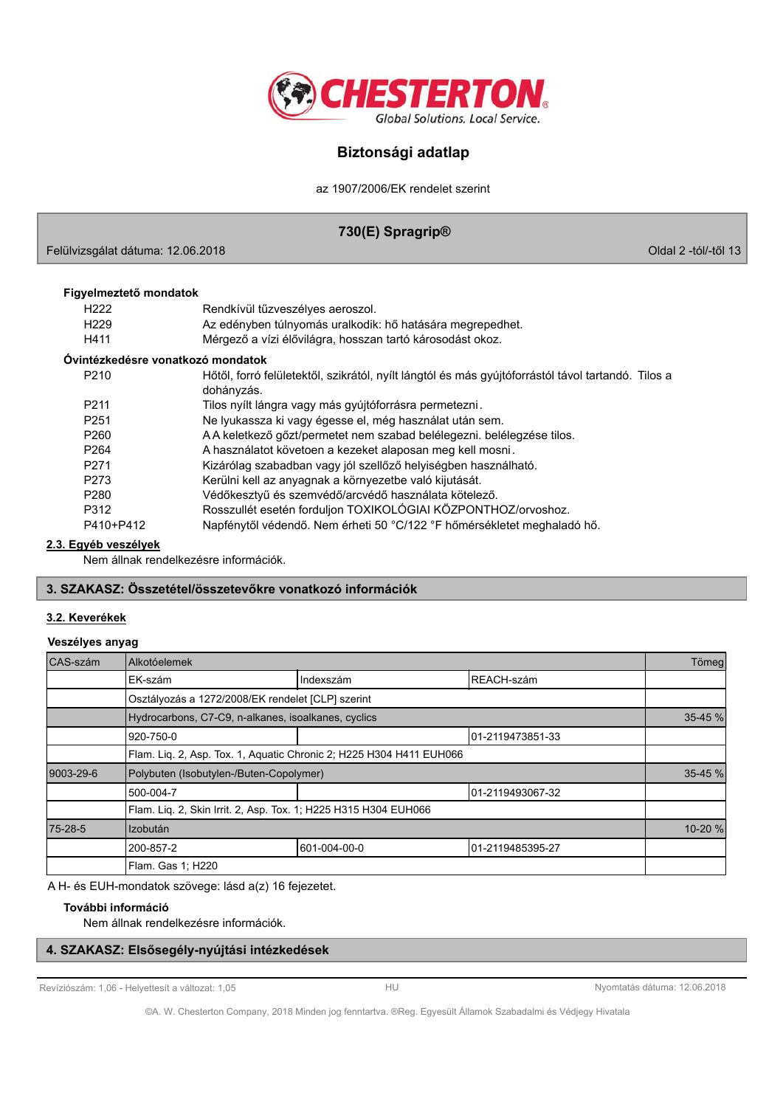

az 1907/2006/EK rendelet szerint

# 730(E) Spragrip®

Felülvizsgálat dátuma: 12.06.2018

Oldal 2 -tól/-től 13

### Figyelmeztető mondatok

| H <sub>222</sub>                  | Rendkívül tűzveszélyes aeroszol.                                                                                 |
|-----------------------------------|------------------------------------------------------------------------------------------------------------------|
| H <sub>229</sub>                  | Az edényben túlnyomás uralkodik: hő hatására megrepedhet.                                                        |
| H411                              | Mérgező a vízi élővilágra, hosszan tartó károsodást okoz.                                                        |
| Óvintézkedésre vonatkozó mondatok |                                                                                                                  |
| P <sub>210</sub>                  | Hőtől, forró felületektől, szikrától, nyílt lángtól és más gyújtóforrástól távol tartandó. Tilos a<br>dohányzás. |
| P <sub>211</sub>                  | Tilos nyílt lángra vagy más gyújtóforrásra permetezni.                                                           |
| P <sub>251</sub>                  | Ne lyukassza ki vagy égesse el, még használat után sem.                                                          |
| P <sub>260</sub>                  | A A keletkező gőzt/permetet nem szabad belélegezni. belélegzése tilos.                                           |
| P <sub>264</sub>                  | A használatot követoen a kezeket alaposan meg kell mosni.                                                        |
| P <sub>271</sub>                  | Kizárólag szabadban vagy jól szellőző helyiségben használható.                                                   |
| P273                              | Kerülni kell az anyagnak a környezetbe való kijutását.                                                           |
| P <sub>280</sub>                  | Védőkesztyű és szemvédő/arcvédő használata kötelező.                                                             |
| P312                              | Rosszullét esetén forduljon TOXIKOLÓGIAI KÖZPONTHOZ/orvoshoz.                                                    |
| P410+P412                         | Napfénytől védendő. Nem érheti 50 °C/122 °F hőmérsékletet meghaladó hő.                                          |
|                                   |                                                                                                                  |

### 2.3. Egyéb veszélyek

Nem állnak rendelkezésre információk.

# 3. SZAKASZ: Összetétel/összetevőkre vonatkozó információk

## 3.2. Keverékek

### Veszélyes anyag

| CAS-szám  | Alkotóelemek                                                        |              |                   | Tömeg   |
|-----------|---------------------------------------------------------------------|--------------|-------------------|---------|
|           | EK-szám                                                             | Indexszám    | REACH-szám        |         |
|           | Osztályozás a 1272/2008/EK rendelet [CLP] szerint                   |              |                   |         |
|           | Hydrocarbons, C7-C9, n-alkanes, isoalkanes, cyclics                 |              |                   | 35-45 % |
|           | 920-750-0                                                           |              | 101-2119473851-33 |         |
|           | Flam. Liq. 2, Asp. Tox. 1, Aquatic Chronic 2; H225 H304 H411 EUH066 |              |                   |         |
| 9003-29-6 | Polybuten (Isobutylen-/Buten-Copolymer)                             |              |                   | 35-45 % |
|           | 500-004-7                                                           |              | 101-2119493067-32 |         |
|           | Flam. Lig. 2, Skin Irrit. 2, Asp. Tox. 1; H225 H315 H304 EUH066     |              |                   |         |
| 75-28-5   | <b>Izobután</b>                                                     |              |                   | 10-20 % |
|           | 1200-857-2                                                          | 601-004-00-0 | 01-2119485395-27  |         |
|           | Flam. Gas 1; H220                                                   |              |                   |         |

A H- és EUH-mondatok szövege: lásd a(z) 16 fejezetet.

## További információ

Nem állnak rendelkezésre információk.

# 4. SZAKASZ: Elsősegély-nyújtási intézkedések

Revíziószám: 1,06 - Helyettesít a változat: 1,05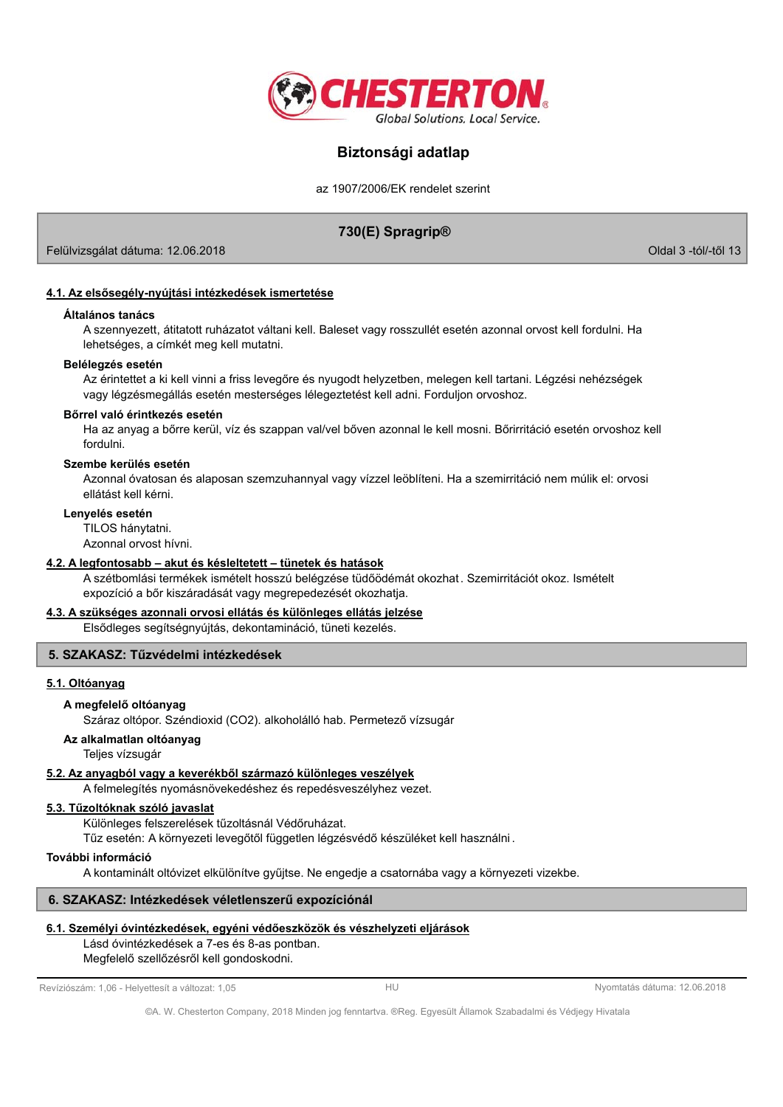

az 1907/2006/EK rendelet szerint

# 730(E) Spragrip®

Felülvizsgálat dátuma: 12.06.2018

Oldal 3 -tól/-től 13

### 4.1. Az elsősegély-nyújtási intézkedések ismertetése

#### Általános tanács

A szennyezett, átitatott ruházatot váltani kell. Baleset vagy rosszullét esetén azonnal orvost kell fordulni. Ha lehetséges, a címkét meg kell mutatni.

### Belélegzés esetén

Az érintettet a ki kell vinni a friss levegőre és nyugodt helyzetben, melegen kell tartani. Légzési nehézségek vagy légzésmegállás esetén mesterséges lélegeztetést kell adni. Forduljon orvoshoz.

#### Bőrrel való érintkezés esetén

Ha az anyag a bőrre kerül, víz és szappan val/vel bőven azonnal le kell mosni. Bőrirritáció esetén orvoshoz kell fordulni

### Szembe kerülés esetén

Azonnal óvatosan és alaposan szemzuhannyal vagy vízzel leöblíteni. Ha a szemirritáció nem múlik el: orvosi ellátást kell kérni.

#### Lenyelés esetén

TII OS hánytatni.

Azonnal orvost hívni.

### 4.2. A legfontosabb - akut és késleltetett - tünetek és hatások

A szétbomlási termékek ismételt hosszú belégzése tüdőödémát okozhat. Szemirritációt okoz. Ismételt expozíció a bőr kiszáradását vagy megrepedezését okozhatja.

### 4.3. A szükséges azonnali orvosi ellátás és különleges ellátás jelzése

Elsődleges segítségnyújtás, dekontamináció, tüneti kezelés.

## 5. SZAKASZ: Tűzvédelmi intézkedések

### 5.1. Oltóanyag

### A megfelelő oltóanyag

Száraz oltópor. Széndioxid (CO2). alkoholálló hab. Permetező vízsugár

## Az alkalmatlan oltóanyag

Teljes vízsugár

### 5.2. Az anyagból vagy a keverékből származó különleges veszélyek

A felmelegítés nyomásnövekedéshez és repedésveszélyhez vezet.

### 5.3. Tűzoltóknak szóló javaslat

Különleges felszerelések tűzoltásnál Védőruházat.

Tűz esetén: A környezeti levegőtől független légzésvédő készüléket kell használni.

# További információ

A kontaminált oltóvizet elkülönítve gyűjtse. Ne engedje a csatornába vagy a környezeti vizekbe.

## 6. SZAKASZ: Intézkedések véletlenszerű expozíciónál

# 6.1. Személyi óvintézkedések, egyéni védőeszközök és vészhelyzeti eljárások

Lásd óvintézkedések a 7-es és 8-as pontban. Megfelelő szellőzésről kell gondoskodni.

Revíziószám: 1,06 - Helyettesít a változat: 1,05

Nyomtatás dátuma: 12.06.2018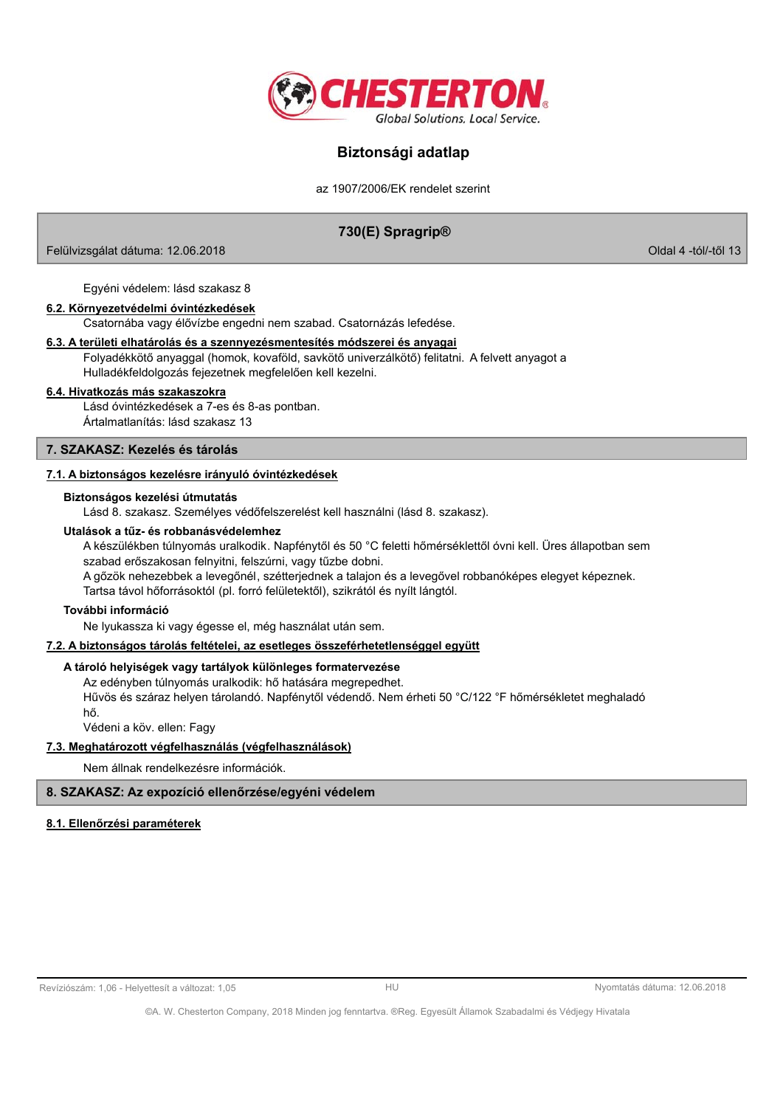

az 1907/2006/EK rendelet szerint

# 730(E) Spragrip®

Felülvizsgálat dátuma: 12.06.2018

Oldal 4 -tól/-től 13

Egyéni védelem: lásd szakasz 8

### 6.2. Környezetvédelmi óvintézkedések

Csatornába vagy élővízbe engedni nem szabad. Csatornázás lefedése.

#### 6.3. A területi elhatárolás és a szennyezésmentesítés módszerei és anyagai

Folyadékkötő anyaggal (homok, kovaföld, savkötő univerzálkötő) felitatni. A felvett anyagot a Hulladékfeldolgozás fejezetnek megfelelően kell kezelni.

#### 6.4. Hivatkozás más szakaszokra

Lásd óvintézkedések a 7-es és 8-as pontban. Ártalmatlanítás: lásd szakasz 13

#### 7. SZAKASZ: Kezelés és tárolás

### 7.1. A biztonságos kezelésre irányuló óvintézkedések

#### Biztonságos kezelési útmutatás

Lásd 8. szakasz. Személyes védőfelszerelést kell használni (lásd 8. szakasz).

#### Utalások a tűz- és robbanásvédelemhez

A készülékben túlnyomás uralkodik. Napfénytől és 50 °C feletti hőmérséklettől óyni kell. Üres állapotban sem szabad erőszakosan felnyitni, felszúrni, vagy tűzbe dobni. A gőzök nehezebbek a levegőnél, szétterjednek a talajon és a levegővel robbanóképes elegyet képeznek. Tartsa távol hőforrásoktól (pl. forró felületektől), szikrától és nyílt lángtól.

### További információ

Ne lyukassza ki vagy égesse el, még használat után sem.

### 7.2. A biztonságos tárolás feltételei, az esetleges összeférhetetlenséggel együtt

### A tároló helyiségek vagy tartályok különleges formatervezése

Az edényben túlnyomás uralkodik: hő hatására megrepedhet.

Hűvös és száraz helyen tárolandó. Napfénytől védendő. Nem érheti 50 °C/122 °F hőmérsékletet meghaladó hő.

Védeni a köv. ellen: Fagy

### 7.3. Meghatározott végfelhasználás (végfelhasználások)

Nem állnak rendelkezésre információk.

### 8. SZAKASZ: Az expozíció ellenőrzése/egyéni védelem

### 8.1. Ellenőrzési paraméterek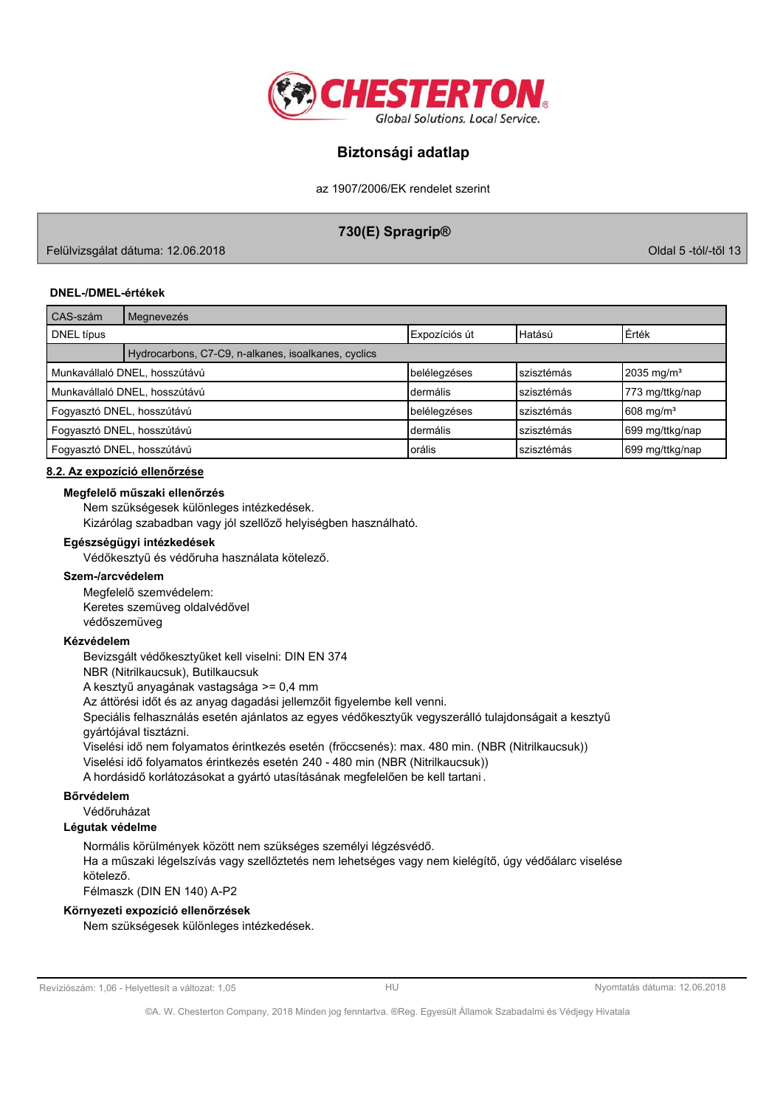

az 1907/2006/EK rendelet szerint

# 730(E) Spragrip®

Felülvizsgálat dátuma: 12.06.2018

Oldal 5 -tól/-től 13

### **DNEL-/DMEL-értékek**

| CAS-szám                      | Megnevezés                                          |               |            |                          |  |
|-------------------------------|-----------------------------------------------------|---------------|------------|--------------------------|--|
| DNEL típus                    |                                                     | Expozíciós út | Hatású     | Erték                    |  |
|                               | Hydrocarbons, C7-C9, n-alkanes, isoalkanes, cyclics |               |            |                          |  |
|                               | Munkavállaló DNEL, hosszútávú                       | belélegzéses  | szisztémás | $2035$ mg/m <sup>3</sup> |  |
| Munkavállaló DNEL, hosszútávú |                                                     | Idermális     | szisztémás | 773 mg/ttkg/nap          |  |
| Fogyasztó DNEL, hosszútávú    |                                                     | belélegzéses  | szisztémás | $1608 \text{ mg/m}^3$    |  |
| Fogyasztó DNEL, hosszútávú    |                                                     | Idermális     | szisztémás | 699 mg/ttkg/nap          |  |
| Fogyasztó DNEL, hosszútávú    |                                                     | Iorális       | szisztémás | 699 mg/ttkg/nap          |  |

### 8.2. Az expozíció ellenőrzése

#### Megfelelő műszaki ellenőrzés

Nem szükségesek különleges intézkedések.

Kizárólag szabadban vagy jól szellőző helyiségben használható.

### Egészségügyi intézkedések

Védőkesztyű és védőruha használata kötelező.

### Szem-/arcvédelem

Megfelelő szemvédelem: Keretes szemüveg oldalvédővel védőszemüveg

### Kézvédelem

Bevizsgált védőkesztyűket kell viselni: DIN EN 374

NBR (Nitrilkaucsuk), Butilkaucsuk

A kesztyű anyagának vastagsága >= 0,4 mm

Az áttörési időt és az anyag dagadási jellemzőit figyelembe kell venni.

Speciális felhasználás esetén ajánlatos az egyes védőkesztyűk vegyszerálló tulajdonságait a kesztyű gyártójával tisztázni.

Viselési idő nem folyamatos érintkezés esetén (fröccsenés): max. 480 min. (NBR (Nitrilkaucsuk))

Viselési idő folyamatos érintkezés esetén 240 - 480 min (NBR (Nitrilkaucsuk))

A hordásidő korlátozásokat a gyártó utasításának megfelelően be kell tartani.

# Bőrvédelem

Védőruházat

# Légutak védelme

Normális körülmények között nem szükséges személyi légzésvédő. Ha a műszaki légelszívás vagy szellőztetés nem lehetséges vagy nem kielégítő, úgy védőálarc viselése kötelező.

Félmaszk (DIN EN 140) A-P2

## Környezeti expozíció ellenőrzések

Nem szükségesek különleges intézkedések.

Revíziószám: 1,06 - Helyettesít a változat: 1,05

 $H1$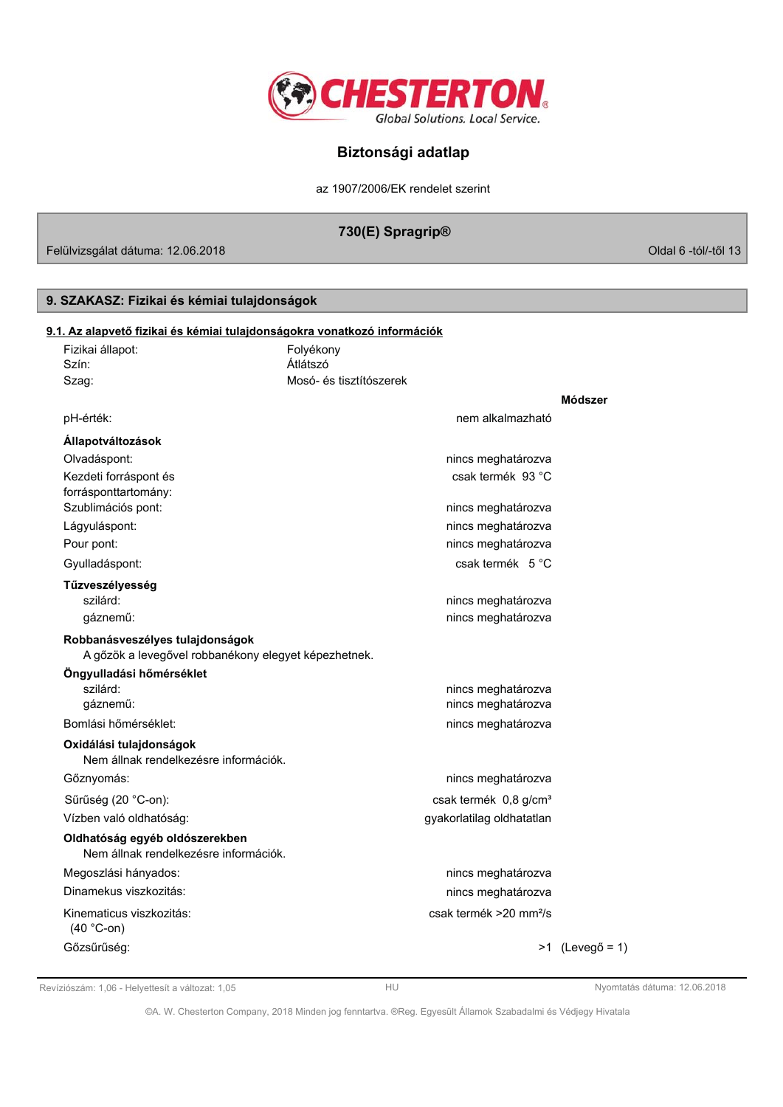

az 1907/2006/EK rendelet szerint

# 730(E) Spragrip®

Felülvizsgálat dátuma: 12.06.2018

# 9. SZAKASZ: Fizikai és kémiai tulajdonságok

| 9.1. Az alapvető fizikai és kémiai tulajdonságokra vonatkozó információk                |                         |                                    |                   |
|-----------------------------------------------------------------------------------------|-------------------------|------------------------------------|-------------------|
| Fizikai állapot:                                                                        | Folyékony               |                                    |                   |
| Szín:                                                                                   | Átlátszó                |                                    |                   |
| Szag:                                                                                   | Mosó- és tisztítószerek |                                    |                   |
|                                                                                         |                         |                                    | Módszer           |
| pH-érték:                                                                               |                         | nem alkalmazható                   |                   |
| Állapotváltozások                                                                       |                         |                                    |                   |
| Olvadáspont:                                                                            |                         | nincs meghatározva                 |                   |
| Kezdeti forráspont és                                                                   |                         | csak termék 93 °C                  |                   |
| forrásponttartomány:                                                                    |                         |                                    |                   |
| Szublimációs pont:                                                                      |                         | nincs meghatározva                 |                   |
| Lágyuláspont:                                                                           |                         | nincs meghatározva                 |                   |
| Pour pont:                                                                              |                         | nincs meghatározva                 |                   |
| Gyulladáspont:                                                                          |                         | csak termék 5 °C                   |                   |
| Tűzveszélyesség                                                                         |                         |                                    |                   |
| szilárd:                                                                                |                         | nincs meghatározva                 |                   |
| gáznemű:                                                                                |                         | nincs meghatározva                 |                   |
| Robbanásveszélyes tulajdonságok<br>A gőzök a levegővel robbanékony elegyet képezhetnek. |                         |                                    |                   |
| Öngyulladási hőmérséklet                                                                |                         |                                    |                   |
| szilárd:                                                                                |                         | nincs meghatározva                 |                   |
| gáznemű:                                                                                |                         | nincs meghatározva                 |                   |
| Bomlási hőmérséklet:                                                                    |                         | nincs meghatározva                 |                   |
| Oxidálási tulajdonságok<br>Nem állnak rendelkezésre információk.                        |                         |                                    |                   |
| Gőznyomás:                                                                              |                         | nincs meghatározva                 |                   |
| Sűrűség (20 °C-on):                                                                     |                         | csak termék 0,8 g/cm <sup>3</sup>  |                   |
| Vízben való oldhatóság:                                                                 |                         | gyakorlatilag oldhatatlan          |                   |
| Oldhatóság egyéb oldószerekben<br>Nem állnak rendelkezésre információk.                 |                         |                                    |                   |
| Megoszlási hányados:                                                                    |                         | nincs meghatározva                 |                   |
| Dinamekus viszkozitás:                                                                  |                         | nincs meghatározva                 |                   |
| Kinematicus viszkozitás:<br>$(40 °C$ -on)                                               |                         | csak termék >20 mm <sup>2</sup> /s |                   |
| Gőzsűrűség:                                                                             |                         |                                    | $>1$ (Levegő = 1) |

Revíziószám: 1,06 - Helyettesít a változat: 1,05

Nyomtatás dátuma: 12.06.2018

Oldal 6 -tól/-től 13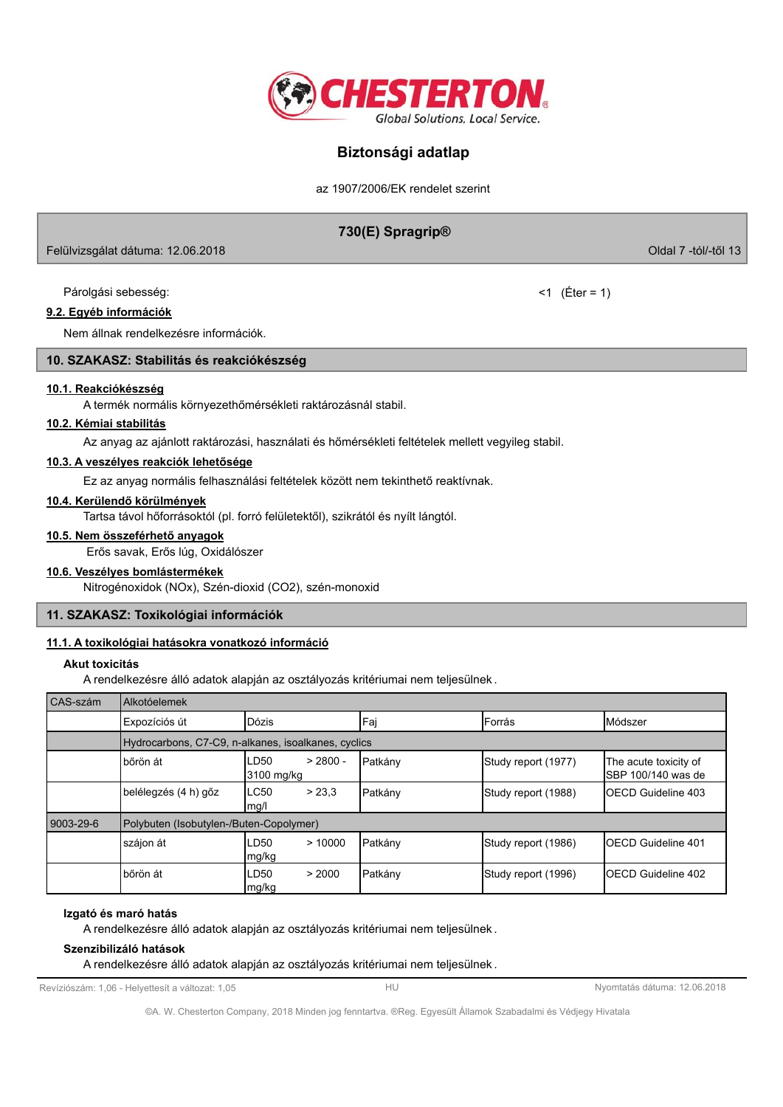

az 1907/2006/EK rendelet szerint

# 730(E) Spragrip®

Felülvizsgálat dátuma: 12.06.2018

Párolgási sebesség:

## 9.2. Egyéb információk

Nem állnak rendelkezésre információk.

## 10. SZAKASZ: Stabilitás és reakciókészség

### 10.1. Reakciókészség

A termék normális környezethőmérsékleti raktározásnál stabil.

# 10.2. Kémiai stabilitás

Az anyag az ajánlott raktározási, használati és hőmérsékleti feltételek mellett vegyileg stabil.

## 10.3. A veszélyes reakciók lehetősége

Ez az anyag normális felhasználási feltételek között nem tekinthető reaktívnak.

### 10.4. Kerülendő körülmények

Tartsa távol hőforrásoktól (pl. forró felületektől), szikrától és nyílt lángtól.

## 10.5. Nem összeférhető anyagok

Erős savak, Erős lúg, Oxidálószer

### 10.6. Veszélyes bomlástermékek

Nitrogénoxidok (NOx), Szén-dioxid (CO2), szén-monoxid

## 11. SZAKASZ: Toxikológiai információk

## 11.1. A toxikológiai hatásokra vonatkozó információ

### Akut toxicitás

A rendelkezésre álló adatok alapján az osztályozás kritériumai nem teljesülnek.

| CAS-szám  | Alkotóelemek                                        |                                     |          |                     |                                                      |
|-----------|-----------------------------------------------------|-------------------------------------|----------|---------------------|------------------------------------------------------|
|           | Expozíciós út                                       | Dózis                               | Faj      | <b>IForrás</b>      | Módszer                                              |
|           | Hydrocarbons, C7-C9, n-alkanes, isoalkanes, cyclics |                                     |          |                     |                                                      |
|           | bőrön át                                            | $> 2800 -$<br>LD50<br>3100 mg/kg    | IPatkánv | Study report (1977) | The acute toxicity of<br><b>I</b> SBP 100/140 was de |
|           | belélegzés (4 h) gőz                                | > 23.3<br>LC50<br>mq/l              | Patkány  | Study report (1988) | <b>IOECD Guideline 403</b>                           |
| 9003-29-6 | Polybuten (Isobutylen-/Buten-Copolymer)             |                                     |          |                     |                                                      |
|           | szájon át                                           | >10000<br>LD <sub>50</sub><br>mg/kg | Patkány  | Study report (1986) | <b>IOECD Guideline 401</b>                           |
|           | bőrön át                                            | > 2000<br>LD50<br>mg/kg             | Patkány  | Study report (1996) | <b>IOECD Guideline 402</b>                           |

## Izgató és maró hatás

A rendelkezésre álló adatok alapján az osztályozás kritériumai nem teljesülnek.

### Szenzibilizáló hatások

A rendelkezésre álló adatok alapján az osztályozás kritériumai nem teljesülnek.

Revíziószám: 1,06 - Helyettesít a változat: 1,05

Nyomtatás dátuma: 12.06.2018

©A. W. Chesterton Company, 2018 Minden jog fenntartva. ®Reg. Egyesült Államok Szabadalmi és Védjegy Hivatala

Oldal 7 -tól/-től 13

 $<1$  (Éter = 1)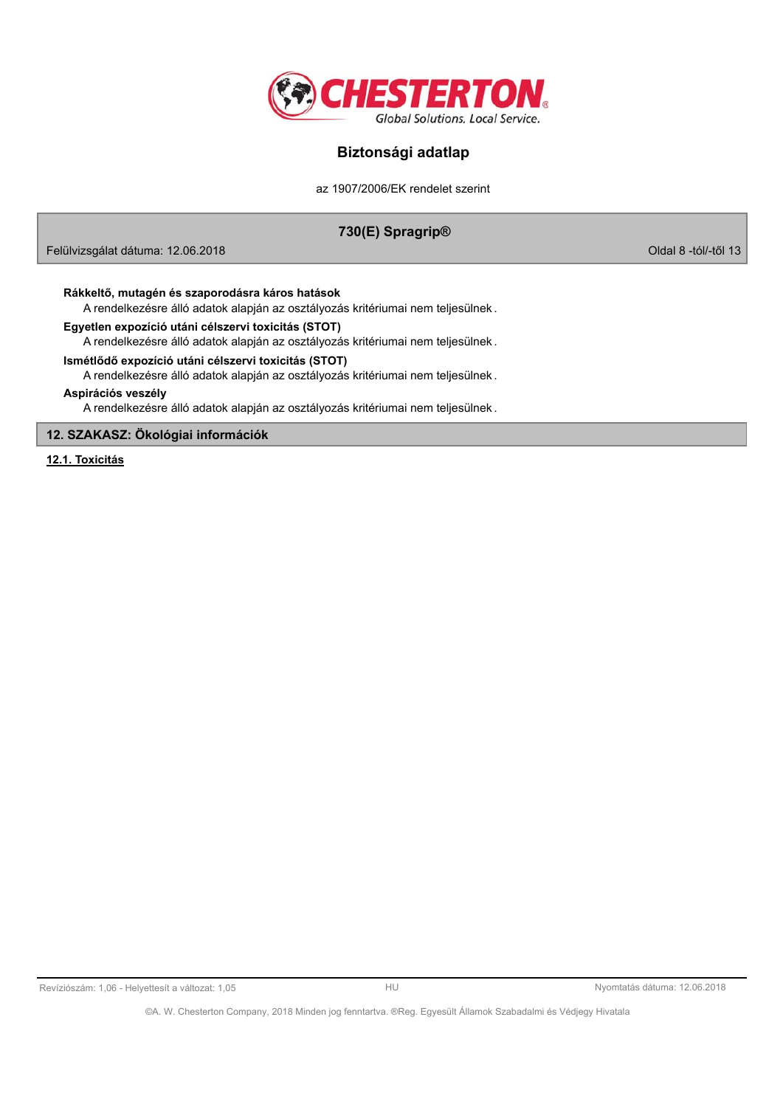

az 1907/2006/EK rendelet szerint

# 730(E) Spragrip®

Felülvizsgálat dátuma: 12.06.2018

Oldal 8 -tól/-től 13

### Rákkeltő, mutagén és szaporodásra káros hatások

A rendelkezésre álló adatok alapján az osztályozás kritériumai nem teljesülnek.

## Egyetlen expozíció utáni célszervi toxicitás (STOT)

A rendelkezésre álló adatok alapján az osztályozás kritériumai nem teljesülnek.

# Ismétlődő expozíció utáni célszervi toxicitás (STOT)

A rendelkezésre álló adatok alapján az osztályozás kritériumai nem teljesülnek.

#### Aspirációs veszély

A rendelkezésre álló adatok alapján az osztályozás kritériumai nem teljesülnek.

### 12. SZAKASZ: Ökológiai információk

12.1. Toxicitás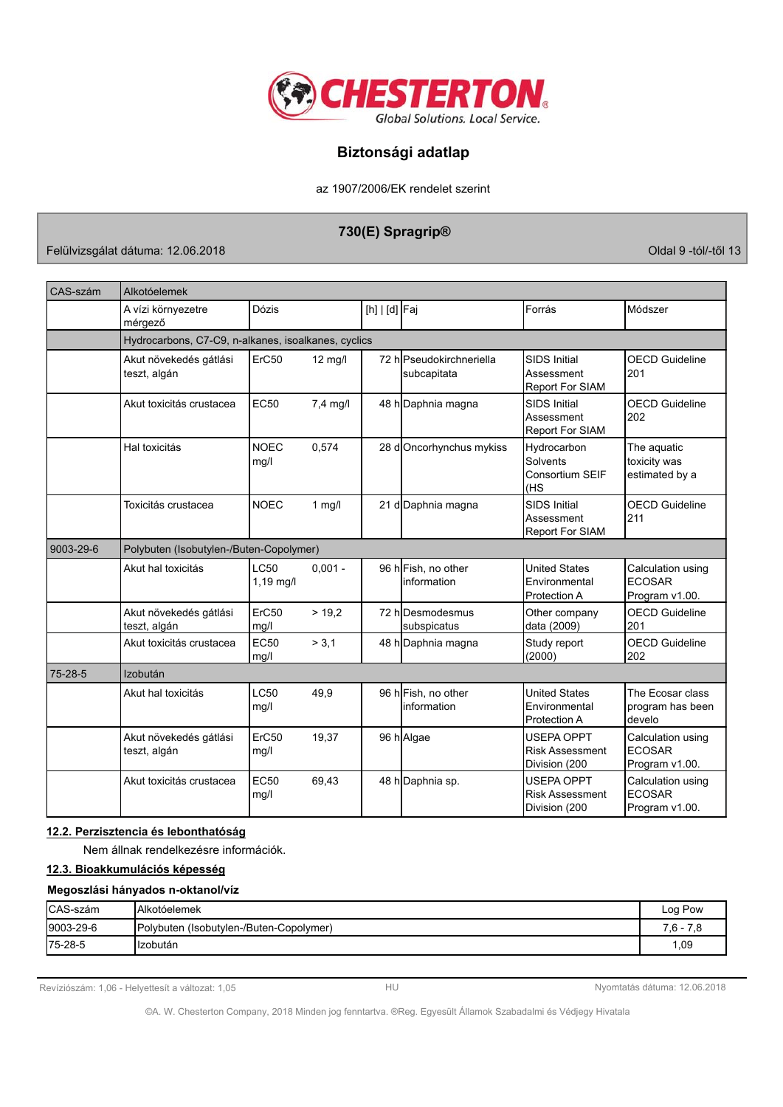

az 1907/2006/EK rendelet szerint

# 730(E) Spragrip®

Felülvizsgálat dátuma: 12.06.2018

Oldal 9 -tól/-től 13

| CAS-szám  | Alkotóelemek                                        |                            |                   |               |                                         |                                                              |                                                      |
|-----------|-----------------------------------------------------|----------------------------|-------------------|---------------|-----------------------------------------|--------------------------------------------------------------|------------------------------------------------------|
|           | A vízi környezetre<br>mérgező                       | Dózis                      |                   | [h]   [d] Faj |                                         | Forrás                                                       | Módszer                                              |
|           | Hydrocarbons, C7-C9, n-alkanes, isoalkanes, cyclics |                            |                   |               |                                         |                                                              |                                                      |
|           | Akut növekedés gátlási<br>teszt, algán              | ErC50                      | $12 \text{ mg/l}$ |               | 72 hlPseudokirchneriella<br>subcapitata | <b>SIDS Initial</b><br>Assessment<br><b>Report For SIAM</b>  | <b>OECD Guideline</b><br>201                         |
|           | Akut toxicitás crustacea                            | <b>EC50</b>                | $7,4$ mg/l        |               | 48 h Daphnia magna                      | <b>SIDS Initial</b><br>Assessment<br><b>Report For SIAM</b>  | <b>OECD Guideline</b><br>202                         |
|           | Hal toxicitás                                       | <b>NOEC</b><br>mg/l        | 0,574             |               | 28 dOncorhynchus mykiss                 | Hydrocarbon<br>Solvents<br><b>Consortium SEIF</b><br>(HS     | The aquatic<br>toxicity was<br>estimated by a        |
|           | Toxicitás crustacea                                 | <b>NOEC</b>                | $1$ mg/l          |               | 21 d Daphnia magna                      | <b>SIDS Initial</b><br>Assessment<br><b>Report For SIAM</b>  | <b>OECD Guideline</b><br>211                         |
| 9003-29-6 | Polybuten (Isobutylen-/Buten-Copolymer)             |                            |                   |               |                                         |                                                              |                                                      |
|           | Akut hal toxicitás                                  | <b>LC50</b><br>$1,19$ mg/l | $0,001 -$         |               | 96 h Fish, no other<br>information      | <b>United States</b><br>Environmental<br>Protection A        | Calculation using<br><b>ECOSAR</b><br>Program v1.00. |
|           | Akut növekedés gátlási<br>teszt, algán              | ErC50<br>mg/l              | > 19.2            |               | 72 hlDesmodesmus<br>subspicatus         | Other company<br>data (2009)                                 | <b>OECD Guideline</b><br>201                         |
|           | Akut toxicitás crustacea                            | EC50<br>mq/l               | > 3.1             |               | 48 h Daphnia magna                      | Study report<br>(2000)                                       | <b>OECD Guideline</b><br>202                         |
| 75-28-5   | Izobután                                            |                            |                   |               |                                         |                                                              |                                                      |
|           | Akut hal toxicitás                                  | <b>LC50</b><br>mg/l        | 49,9              |               | 96 h Fish, no other<br>linformation     | <b>United States</b><br>Environmental<br>Protection A        | The Ecosar class<br>program has been<br>develo       |
|           | Akut növekedés gátlási<br>teszt, algán              | ErC50<br>mg/l              | 19,37             |               | 96 h Algae                              | USEPA OPPT<br><b>Risk Assessment</b><br>Division (200        | Calculation using<br><b>ECOSAR</b><br>Program v1.00. |
|           | Akut toxicitás crustacea                            | <b>EC50</b><br>mg/l        | 69,43             |               | 48 h Daphnia sp.                        | <b>USEPA OPPT</b><br><b>Risk Assessment</b><br>Division (200 | Calculation using<br><b>ECOSAR</b><br>Program v1.00. |

# 12.2. Perzisztencia és lebonthatóság

Nem állnak rendelkezésre információk.

## 12.3. Bioakkumulációs képesség

## Megoszlási hányados n-oktanol/víz

| <b>CAS-szám</b>   | <b>IAlkotóelemek</b>                     | Log Pow     |
|-------------------|------------------------------------------|-------------|
| $ 9003 - 29 - 6 $ | (Polybuten (Isobutylen-/Buten-Copolymer) | $7.6 - 7.8$ |
| $ 75-28-5 $       | IIzobután                                | 1,09        |

Revíziószám: 1,06 - Helyettesít a változat: 1,05

Nyomtatás dátuma: 12.06.2018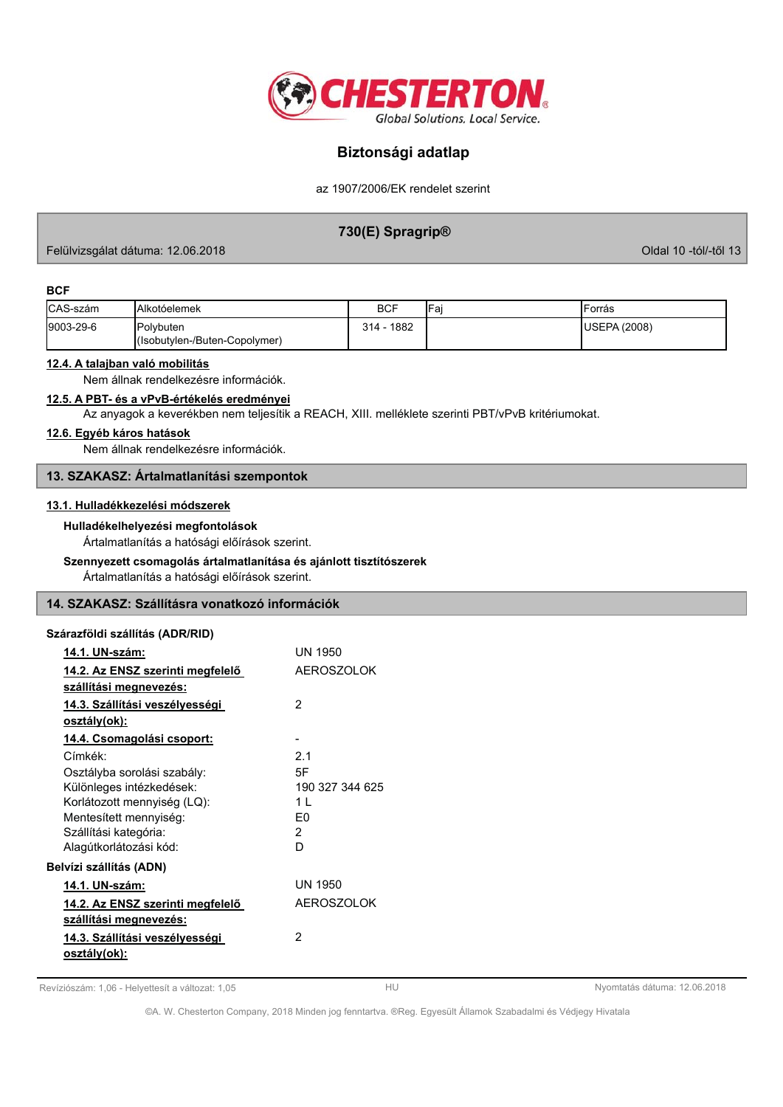

az 1907/2006/EK rendelet szerint

# 730(E) Spragrip®

Felülvizsgálat dátuma: 12.06.2018

Oldal 10 -tól/-től 13

### **BCF**

| CAS-szám  | <b>IAlkotóelemek</b>          | <b>BCF</b>  | IFa | 'Forrás       |
|-----------|-------------------------------|-------------|-----|---------------|
| 9003-29-6 | Polybuten                     | 1882<br>314 |     | IUSEPA (2008) |
|           | (Isobutylen-/Buten-Copolymer) |             |     |               |

## 12.4. A talajban való mobilitás

Nem állnak rendelkezésre információk.

# 12.5. A PBT- és a vPvB-értékelés eredményei

Az anyagok a keverékben nem teljesítik a REACH, XIII. melléklete szerinti PBT/vPvB kritériumokat.

### 12.6. Egyéb káros hatások

Nem állnak rendelkezésre információk.

## 13. SZAKASZ: Ártalmatlanítási szempontok

### 13.1. Hulladékkezelési módszerek

Hulladékelhelyezési megfontolások

Ártalmatlanítás a hatósági előírások szerint.

## Szennyezett csomagolás ártalmatlanítása és ajánlott tisztítószerek

Ártalmatlanítás a hatósági előírások szerint.

## 14. SZAKASZ: Szállításra vonatkozó információk

## Szárazföldi szállítás (ADR/RID)

| 14.1. UN-szám:                   | <b>UN 1950</b>    |
|----------------------------------|-------------------|
| 14.2. Az ENSZ szerinti megfelelő | <b>AEROSZOLOK</b> |
| szállítási megnevezés:           |                   |
| 14.3. Szállítási veszélyességi   | 2                 |
| osztály(ok):                     |                   |
| 14.4. Csomagolási csoport:       |                   |
| Címkék:                          | 2.1               |
| Osztályba sorolási szabály:      | 5F                |
| Különleges intézkedések:         | 190 327 344 625   |
| Korlátozott mennyiség (LQ):      | 1 I               |
| Mentesített mennyiség:           | F0                |
| Szállítási kategória:            | 2                 |
| Alagútkorlátozási kód:           | D                 |
| Belvízi szállítás (ADN)          |                   |
| 14.1. UN-szám:                   | UN 1950           |
| 14.2. Az ENSZ szerinti megfelelő | <b>AEROSZOLOK</b> |
| szállítási megnevezés:           |                   |
| 14.3. Szállítási veszélyességi   | 2                 |
| osztály(ok):                     |                   |
|                                  |                   |

Revíziószám: 1,06 - Helyettesít a változat: 1,05

 $HU$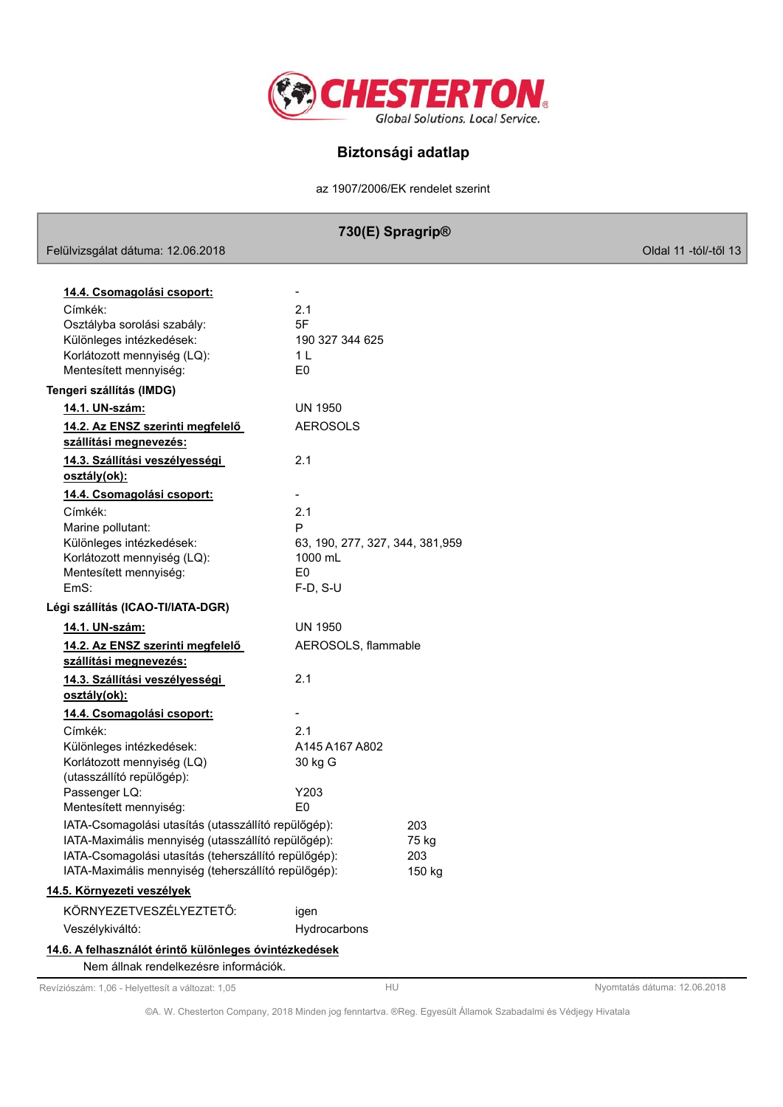

az 1907/2006/EK rendelet szerint

|                                                            | 730(E) Spragrip <sup>®</sup>     |        |                       |
|------------------------------------------------------------|----------------------------------|--------|-----------------------|
| Felülvizsgálat dátuma: 12.06.2018                          |                                  |        | Oldal 11 -tól/-től 13 |
|                                                            |                                  |        |                       |
| 14.4. Csomagolási csoport:                                 |                                  |        |                       |
| Címkék:                                                    | 2.1                              |        |                       |
| Osztályba sorolási szabály:                                | 5F                               |        |                       |
| Különleges intézkedések:                                   | 190 327 344 625                  |        |                       |
| Korlátozott mennyiség (LQ):                                | 1 L                              |        |                       |
| Mentesített mennyiség:                                     | E <sub>0</sub>                   |        |                       |
| Tengeri szállítás (IMDG)                                   |                                  |        |                       |
| 14.1. UN-szám:                                             | <b>UN 1950</b>                   |        |                       |
| 14.2. Az ENSZ szerinti megfelelő<br>szállítási megnevezés: | <b>AEROSOLS</b>                  |        |                       |
| 14.3. Szállítási veszélyességi<br>osztály(ok):             | 2.1                              |        |                       |
| 14.4. Csomagolási csoport:                                 | $\overline{a}$                   |        |                       |
| Címkék:                                                    | 2.1                              |        |                       |
| Marine pollutant:                                          | P                                |        |                       |
| Különleges intézkedések:                                   | 63, 190, 277, 327, 344, 381, 959 |        |                       |
| Korlátozott mennyiség (LQ):                                | 1000 mL                          |        |                       |
| Mentesített mennyiség:                                     | E <sub>0</sub>                   |        |                       |
| EmS:                                                       | $F-D, S-U$                       |        |                       |
| Légi szállítás (ICAO-TI/IATA-DGR)                          |                                  |        |                       |
| <u>14.1. UN-szám:</u>                                      | <b>UN 1950</b>                   |        |                       |
| 14.2. Az ENSZ szerinti megfelelő<br>szállítási megnevezés: | AEROSOLS, flammable              |        |                       |
| 14.3. Szállítási veszélyességi                             | 2.1                              |        |                       |
| osztály(ok):                                               |                                  |        |                       |
| 14.4. Csomagolási csoport:                                 | $\overline{\phantom{a}}$         |        |                       |
| Címkék:                                                    | 2.1                              |        |                       |
| Különleges intézkedések:                                   | A145 A167 A802                   |        |                       |
| Korlátozott mennyiség (LQ)                                 | 30 kg G                          |        |                       |
| (utasszállító repülőgép):                                  |                                  |        |                       |
| Passenger LQ:                                              | Y203                             |        |                       |
| Mentesített mennyiség:                                     | F <sub>0</sub>                   |        |                       |
| IATA-Csomagolási utasítás (utasszállító repülőgép):        |                                  | 203    |                       |
| IATA-Maximális mennyiség (utasszállító repülőgép):         |                                  | 75 kg  |                       |
| IATA-Csomagolási utasítás (teherszállító repülőgép):       |                                  | 203    |                       |
| IATA-Maximális mennyiség (teherszállító repülőgép):        |                                  | 150 kg |                       |
| 14.5. Környezeti veszélyek                                 |                                  |        |                       |
| KÖRNYEZETVESZÉLYEZTETŐ:                                    | igen                             |        |                       |
| Veszélykiváltó:                                            | Hydrocarbons                     |        |                       |
| 14.6. A felhasználót érintő különleges óvintézkedések      |                                  |        |                       |
| Nem állnak rendelkezésre információk.                      |                                  |        |                       |

Revíziószám: 1,06 - Helyettesít a változat: 1,05

Nyomtatás dátuma: 12.06.2018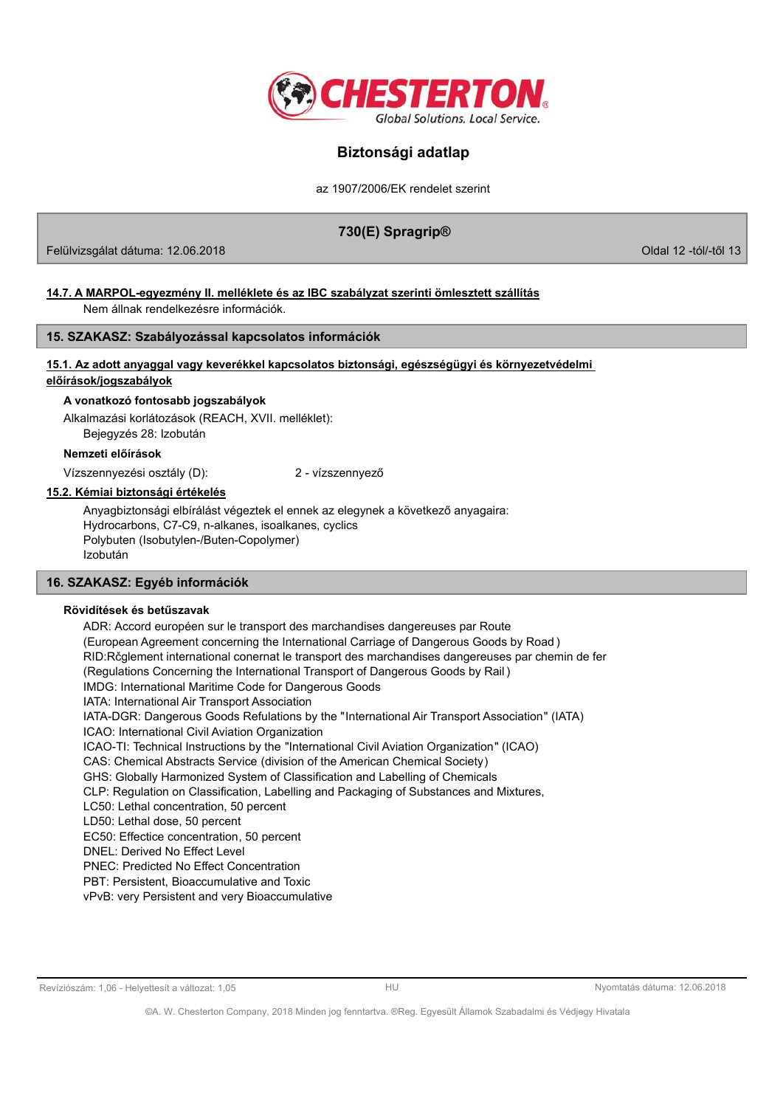

az 1907/2006/EK rendelet szerint

# 730(E) Spragrip®

Felülvizsgálat dátuma: 12.06.2018

Oldal 12 -tól/-től 13

# 14.7. A MARPOL-egyezmény II. melléklete és az IBC szabályzat szerinti ömlesztett szállítás

Nem állnak rendelkezésre információk.

# 15. SZAKASZ: Szabályozással kapcsolatos információk

# 15.1. Az adott anyaggal vagy keverékkel kapcsolatos biztonsági, egészségügyi és környezetvédelmi

# előírások/jogszabályok

A vonatkozó fontosabb jogszabályok

Alkalmazási korlátozások (REACH, XVII, melléklet):

Bejegyzés 28: Izobután

## Nemzeti előírások

Vízszennyezési osztály (D):

2 - vízszennyező

# 15.2. Kémiai biztonsági értékelés

Anyagbiztonsági elbírálást végeztek el ennek az elegynek a következő anyagaira: Hydrocarbons, C7-C9, n-alkanes, isoalkanes, cyclics Polybuten (Isobutylen-/Buten-Copolymer) Izobután

# 16. SZAKASZ: Egyéb információk

## Rövidítések és betűszavak

ADR: Accord européen sur le transport des marchandises dangereuses par Route (European Agreement concerning the International Carriage of Dangerous Goods by Road) RID: Rčglement international conernat le transport des marchandises dangereuses par chemin de fer (Regulations Concerning the International Transport of Dangerous Goods by Rail) IMDG: International Maritime Code for Dangerous Goods IATA: International Air Transport Association IATA-DGR: Dangerous Goods Refulations by the "International Air Transport Association" (IATA) ICAO: International Civil Aviation Organization ICAO-TI: Technical Instructions by the "International Civil Aviation Organization" (ICAO) CAS: Chemical Abstracts Service (division of the American Chemical Society) GHS: Globally Harmonized System of Classification and Labelling of Chemicals CLP: Regulation on Classification, Labelling and Packaging of Substances and Mixtures, LC50: Lethal concentration, 50 percent LD50: Lethal dose, 50 percent EC50: Effectice concentration, 50 percent DNEL: Derived No Effect Level **PNEC: Predicted No Effect Concentration** PBT: Persistent, Bioaccumulative and Toxic vPvB: very Persistent and very Bioaccumulative

#### Revíziószám: 1,06 - Helyettesít a változat: 1,05